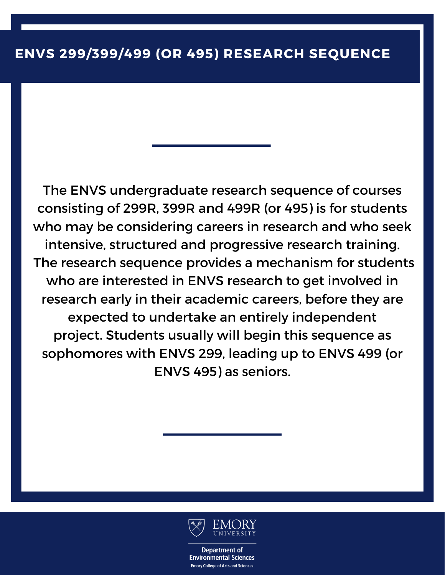The ENVS undergraduate research sequence of courses consisting of 299R, 399R and 499R (or 495) is for students who may be considering careers in research and who seek intensive, structured and progressive research training. The research sequence provides a mechanism for students who are interested in ENVS research to get involved in research early in their academic careers, before they are expected to undertake an entirely independent project. Students usually will begin this sequence as sophomores with ENVS 299, leading up to ENVS 499 (or ENVS 495) as seniors.

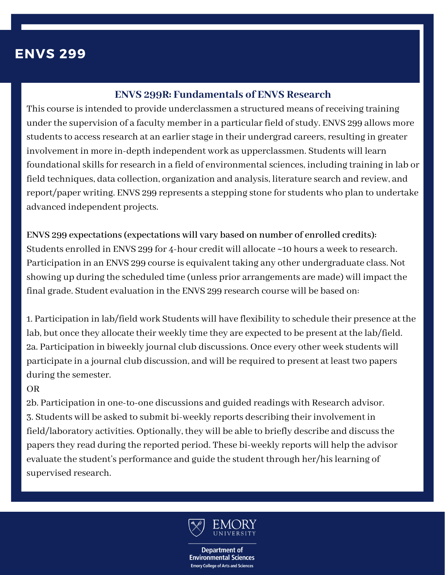# **ENVS 299**

### **ENVS 299R: Fundamentals of ENVS Research**

This course is intended to provide underclassmen a structured means of receiving training under the supervision of a faculty member in a particular field of study. ENVS 299 allows more students to access research at an earlier stage in their undergrad careers, resulting in greater involvement in more in-depth independent work as upperclassmen. Students will learn foundational skills for research in a field of environmental sciences, including training in lab or field techniques, data collection, organization and analysis, literature search and review, and report/paper writing. ENVS 299 represents a stepping stone forstudents who plan to undertake advanced independent projects.

**ENVS 299 expectations(expectations will vary based on number of enrolled credits):** Students enrolled in ENVS 299 for 4-hour credit will allocate ~10 hours a week to research. Participation in an ENVS 299 course is equivalent taking any other undergraduate class. Not showing up during the scheduled time (unless prior arrangements are made) will impact the final grade. Student evaluation in the ENVS 299 research course will be based on:

1. Participation in lab/field work Students will have flexibility to schedule their presence at the lab, but once they allocate their weekly time they are expected to be present at the lab/field. 2a. Participation in biweekly journal club discussions. Once every other week students will participate in a journal club discussion, and will be required to present at least two papers during the semester.

#### OR

2b. Participation in one-to-one discussions and guided readings with Research advisor. 3. Students will be asked to submit bi-weekly reports describing theirinvolvement in field/laboratory activities. Optionally, they will be able to briefly describe and discussthe papersthey read during the reported period. These bi-weekly reports will help the advisor evaluate the student's performance and guide the student through her/hislearning of supervised research.

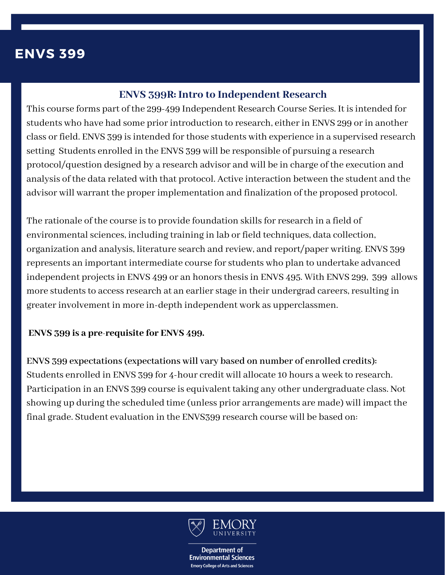# **ENVS 399**

### **ENVS 399R: Intro to Independent Research**

This course forms part of the 299-499 Independent Research Course Series. It is intended for students who have had some prior introduction to research, either in ENVS 299 or in another class or field. ENVS 399 is intended for those students with experience in a supervised research setting Students enrolled in the ENVS 399 will be responsible of pursuing a research protocol/question designed by a research advisor and will be in charge of the execution and analysis of the data related with that protocol. Active interaction between the student and the advisor will warrant the properimplementation and finalization of the proposed protocol.

The rationale of the course is to provide foundation skills for research in a field of environmental sciences, including training in lab or field techniques, data collection, organization and analysis, literature search and review, and report/paper writing. ENVS 399 represents an important intermediate course forstudents who plan to undertake advanced independent projects in ENVS 499 or an honors thesis in ENVS 495. With ENVS 299, 399 allows more students to access research at an earlier stage in their undergrad careers, resulting in greaterinvolvement in more in-depth independent work as upperclassmen.

#### **ENVS 399 is a pre-requisite for ENVS 499.**

**ENVS 399 expectations(expectations will vary based on number of enrolled credits):** Students enrolled in ENVS 399 for 4-hour credit will allocate 10 hours a week to research. Participation in an ENVS 399 course is equivalent taking any other undergraduate class. Not showing up during the scheduled time (unless prior arrangements are made) will impact the final grade. Student evaluation in the ENVS399 research course will be based on:

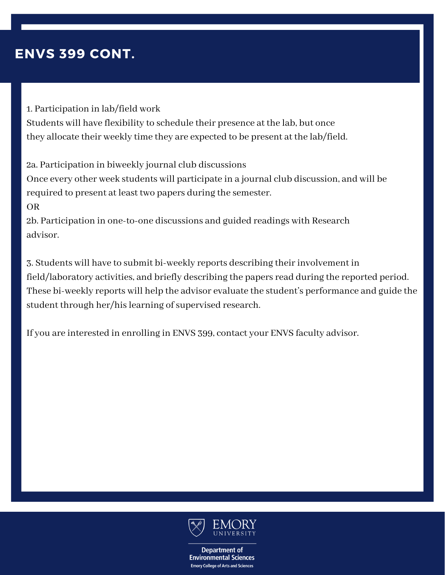# **ENVS 399 CONT.**

1. Participation in lab/field work Students will have flexibility to schedule their presence at the lab, but once they allocate their weekly time they are expected to be present at the lab/field.

2a. Participation in biweekly journal club discussions Once every other week students will participate in a journal club discussion, and will be required to present at least two papers during the semester. OR 2b. Participation in one-to-one discussions and guided readings with Research

advisor.

3. Students will have to submit bi-weekly reports describing theirinvolvement in field/laboratory activities, and briefly describing the papers read during the reported period. These bi-weekly reports will help the advisor evaluate the student's performance and guide the student through her/his learning of supervised research.

If you are interested in enrolling in ENVS 399, contact your ENVS faculty advisor.

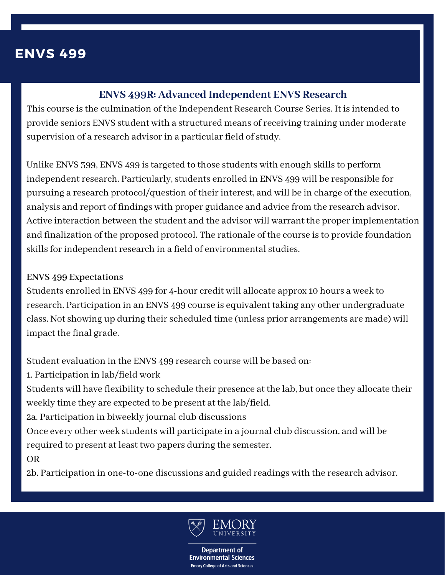### **ENVS 499**

### **ENVS 499R: Advanced Independent ENVS Research**

This course is the culmination of the Independent Research Course Series. It is intended to provide seniors ENVS student with a structured means of receiving training under moderate supervision of a research advisor in a particular field of study.

Unlike ENVS 399, ENVS 499 is targeted to those students with enough skills to perform independent research. Particularly, students enrolled in ENVS 499 will be responsible for pursuing a research protocol/question of their interest, and will be in charge of the execution, analysis and report of findings with proper guidance and advice from the research advisor. Active interaction between the student and the advisor will warrant the properimplementation and finalization of the proposed protocol. The rationale of the course isto provide foundation skills for independent research in a field of environmental studies.

#### **ENVS 499 Expectations**

Students enrolled in ENVS 499 for 4-hour credit will allocate approx 10 hours a week to research. Participation in an ENVS 499 course is equivalent taking any other undergraduate class. Not showing up during their scheduled time (unless prior arrangements are made) will impact the final grade.

Student evaluation in the ENVS 499 research course will be based on:

1. Participation in lab/field work

Students will have flexibility to schedule their presence at the lab, but once they allocate their weekly time they are expected to be present at the lab/field.

2a. Participation in biweekly journal club discussions

Once every other week students will participate in a journal club discussion, and will be required to present at least two papers during the semester.

OR

2b. Participation in one-to-one discussions and guided readings with the research advisor.